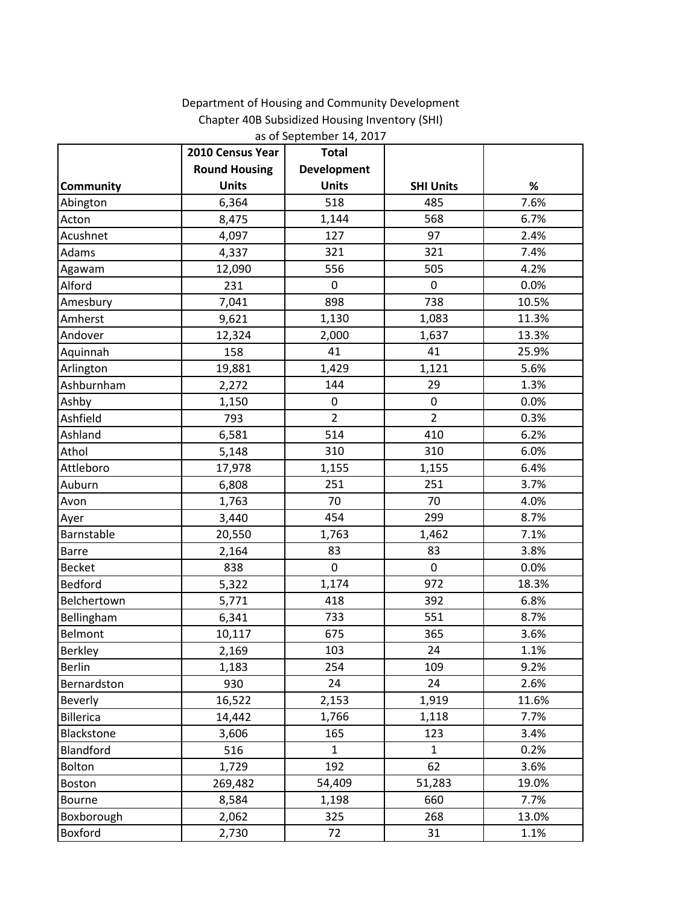|                  | 2010 Census Year     | $ds$ or september 14, 2017<br><b>Total</b> |                  |       |
|------------------|----------------------|--------------------------------------------|------------------|-------|
|                  | <b>Round Housing</b> | Development                                |                  |       |
| <b>Community</b> | <b>Units</b>         | <b>Units</b>                               | <b>SHI Units</b> | $\%$  |
| Abington         | 6,364                | 518                                        | 485              | 7.6%  |
| Acton            | 8,475                | 1,144                                      | 568              | 6.7%  |
| Acushnet         | 4,097                | 127                                        | 97               | 2.4%  |
| Adams            | 4,337                | 321                                        | 321              | 7.4%  |
| Agawam           | 12,090               | 556                                        | 505              | 4.2%  |
| Alford           | 231                  | $\mathbf 0$                                | $\mathbf{0}$     | 0.0%  |
| Amesbury         | 7,041                | 898                                        | 738              | 10.5% |
| Amherst          | 9,621                | 1,130                                      | 1,083            | 11.3% |
| Andover          | 12,324               | 2,000                                      | 1,637            | 13.3% |
| Aquinnah         | 158                  | 41                                         | 41               | 25.9% |
| Arlington        | 19,881               | 1,429                                      | 1,121            | 5.6%  |
| Ashburnham       | 2,272                | 144                                        | 29               | 1.3%  |
| Ashby            | 1,150                | $\mathbf 0$                                | $\mathbf 0$      | 0.0%  |
| Ashfield         | 793                  | $\overline{2}$                             | $\overline{2}$   | 0.3%  |
| Ashland          | 6,581                | 514                                        | 410              | 6.2%  |
| Athol            | 5,148                | 310                                        | 310              | 6.0%  |
| Attleboro        | 17,978               | 1,155                                      | 1,155            | 6.4%  |
| Auburn           | 6,808                | 251                                        | 251              | 3.7%  |
| Avon             | 1,763                | 70                                         | 70               | 4.0%  |
| Ayer             | 3,440                | 454                                        | 299              | 8.7%  |
| Barnstable       | 20,550               | 1,763                                      | 1,462            | 7.1%  |
| <b>Barre</b>     | 2,164                | 83                                         | 83               | 3.8%  |
| <b>Becket</b>    | 838                  | $\overline{0}$                             | $\mathbf 0$      | 0.0%  |
| <b>Bedford</b>   | 5,322                | 1,174                                      | 972              | 18.3% |
| Belchertown      | 5,771                | 418                                        | 392              | 6.8%  |
| Bellingham       | 6,341                | 733                                        | 551              | 8.7%  |
| Belmont          | 10,117               | 675                                        | 365              | 3.6%  |
| Berkley          | 2,169                | 103                                        | 24               | 1.1%  |
| <b>Berlin</b>    | 1,183                | 254                                        | 109              | 9.2%  |
| Bernardston      | 930                  | 24                                         | 24               | 2.6%  |
| <b>Beverly</b>   | 16,522               | 2,153                                      | 1,919            | 11.6% |
| <b>Billerica</b> | 14,442               | 1,766                                      | 1,118            | 7.7%  |
| Blackstone       | 3,606                | 165                                        | 123              | 3.4%  |
| Blandford        | 516                  | $\mathbf{1}$                               | $\mathbf{1}$     | 0.2%  |
| <b>Bolton</b>    | 1,729                | 192                                        | 62               | 3.6%  |
| <b>Boston</b>    | 269,482              | 54,409                                     | 51,283           | 19.0% |
| Bourne           | 8,584                | 1,198                                      | 660              | 7.7%  |
| Boxborough       | 2,062                | 325                                        | 268              | 13.0% |
| Boxford          | 2,730                | 72                                         | 31               | 1.1%  |

## Department of Housing and Community Development Chapter 40B Subsidized Housing Inventory (SHI) as of September 14, 2017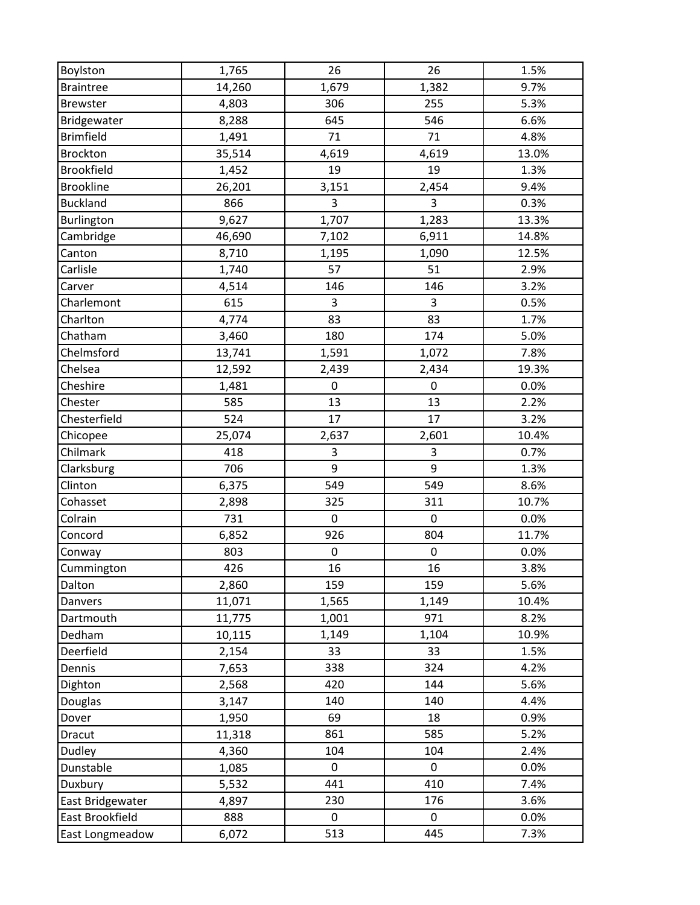| Boylston          | 1,765  | 26          | 26          | 1.5%  |
|-------------------|--------|-------------|-------------|-------|
| <b>Braintree</b>  | 14,260 | 1,679       | 1,382       | 9.7%  |
| Brewster          | 4,803  | 306         | 255         | 5.3%  |
| Bridgewater       | 8,288  | 645         | 546         | 6.6%  |
| <b>Brimfield</b>  | 1,491  | 71          | 71          | 4.8%  |
| <b>Brockton</b>   | 35,514 | 4,619       | 4,619       | 13.0% |
| <b>Brookfield</b> | 1,452  | 19          | 19          | 1.3%  |
| <b>Brookline</b>  | 26,201 | 3,151       | 2,454       | 9.4%  |
| <b>Buckland</b>   | 866    | 3           | 3           | 0.3%  |
| Burlington        | 9,627  | 1,707       | 1,283       | 13.3% |
| Cambridge         | 46,690 | 7,102       | 6,911       | 14.8% |
| Canton            | 8,710  | 1,195       | 1,090       | 12.5% |
| Carlisle          | 1,740  | 57          | 51          | 2.9%  |
| Carver            | 4,514  | 146         | 146         | 3.2%  |
| Charlemont        | 615    | 3           | 3           | 0.5%  |
| Charlton          | 4,774  | 83          | 83          | 1.7%  |
| Chatham           | 3,460  | 180         | 174         | 5.0%  |
| Chelmsford        | 13,741 | 1,591       | 1,072       | 7.8%  |
| Chelsea           | 12,592 | 2,439       | 2,434       | 19.3% |
| Cheshire          | 1,481  | $\mathbf 0$ | $\mathbf 0$ | 0.0%  |
| Chester           | 585    | 13          | 13          | 2.2%  |
| Chesterfield      | 524    | 17          | 17          | 3.2%  |
| Chicopee          | 25,074 | 2,637       | 2,601       | 10.4% |
| Chilmark          | 418    | 3           | 3           | 0.7%  |
| Clarksburg        | 706    | 9           | 9           | 1.3%  |
| Clinton           | 6,375  | 549         | 549         | 8.6%  |
| Cohasset          | 2,898  | 325         | 311         | 10.7% |
| Colrain           | 731    | $\mathbf 0$ | $\mathbf 0$ | 0.0%  |
| Concord           | 6,852  | 926         | 804         | 11.7% |
| Conway            | 803    | $\mathbf 0$ | $\mathbf 0$ | 0.0%  |
| Cummington        | 426    | 16          | 16          | 3.8%  |
| Dalton            | 2,860  | 159         | 159         | 5.6%  |
| Danvers           | 11,071 | 1,565       | 1,149       | 10.4% |
| Dartmouth         | 11,775 | 1,001       | 971         | 8.2%  |
| Dedham            | 10,115 | 1,149       | 1,104       | 10.9% |
| Deerfield         | 2,154  | 33          | 33          | 1.5%  |
| Dennis            | 7,653  | 338         | 324         | 4.2%  |
| Dighton           | 2,568  | 420         | 144         | 5.6%  |
| Douglas           | 3,147  | 140         | 140         | 4.4%  |
| Dover             | 1,950  | 69          | 18          | 0.9%  |
| Dracut            | 11,318 | 861         | 585         | 5.2%  |
| Dudley            | 4,360  | 104         | 104         | 2.4%  |
| Dunstable         | 1,085  | $\mathbf 0$ | $\mathbf 0$ | 0.0%  |
| Duxbury           | 5,532  | 441         | 410         | 7.4%  |
| East Bridgewater  | 4,897  | 230         | 176         | 3.6%  |
| East Brookfield   | 888    | 0           | 0           | 0.0%  |
| East Longmeadow   | 6,072  | 513         | 445         | 7.3%  |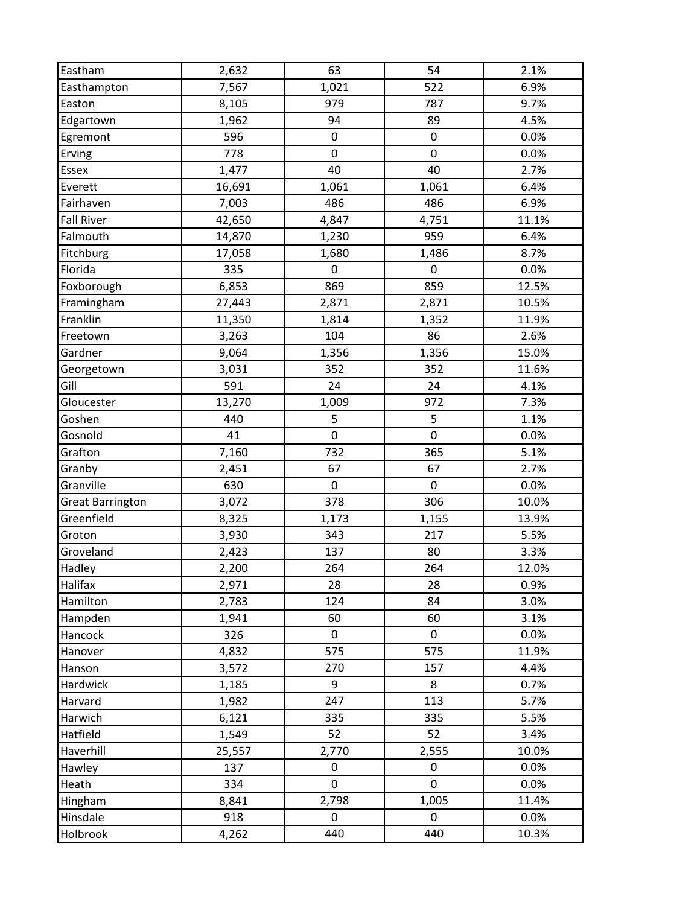| Eastham                 | 2,632  | 63             | 54          | 2.1%  |
|-------------------------|--------|----------------|-------------|-------|
| Easthampton             | 7,567  | 1,021          | 522         | 6.9%  |
| Easton                  | 8,105  | 979            | 787         | 9.7%  |
| Edgartown               | 1,962  | 94             | 89          | 4.5%  |
| Egremont                | 596    | $\pmb{0}$      | $\pmb{0}$   | 0.0%  |
| Erving                  | 778    | $\mathbf 0$    | $\mathbf 0$ | 0.0%  |
| Essex                   | 1,477  | 40             | 40          | 2.7%  |
| Everett                 | 16,691 | 1,061          | 1,061       | 6.4%  |
| Fairhaven               | 7,003  | 486            | 486         | 6.9%  |
| <b>Fall River</b>       | 42,650 | 4,847          | 4,751       | 11.1% |
| Falmouth                | 14,870 | 1,230          | 959         | 6.4%  |
| Fitchburg               | 17,058 | 1,680          | 1,486       | 8.7%  |
| Florida                 | 335    | 0              | $\mathbf 0$ | 0.0%  |
| Foxborough              | 6,853  | 869            | 859         | 12.5% |
| Framingham              | 27,443 | 2,871          | 2,871       | 10.5% |
| Franklin                | 11,350 | 1,814          | 1,352       | 11.9% |
| Freetown                | 3,263  | 104            | 86          | 2.6%  |
| Gardner                 | 9,064  | 1,356          | 1,356       | 15.0% |
| Georgetown              | 3,031  | 352            | 352         | 11.6% |
| Gill                    | 591    | 24             | 24          | 4.1%  |
| Gloucester              | 13,270 | 1,009          | 972         | 7.3%  |
| Goshen                  | 440    | 5              | 5           | 1.1%  |
| Gosnold                 | 41     | $\overline{0}$ | $\mathbf 0$ | 0.0%  |
| Grafton                 | 7,160  | 732            | 365         | 5.1%  |
| Granby                  | 2,451  | 67             | 67          | 2.7%  |
| Granville               | 630    | 0              | $\pmb{0}$   | 0.0%  |
| <b>Great Barrington</b> | 3,072  | 378            | 306         | 10.0% |
| Greenfield              | 8,325  | 1,173          | 1,155       | 13.9% |
| Groton                  | 3,930  | 343            | 217         | 5.5%  |
| Groveland               | 2,423  | 137            | 80          | 3.3%  |
| Hadley                  | 2,200  | 264            | 264         | 12.0% |
| Halifax                 | 2,971  | 28             | 28          | 0.9%  |
| Hamilton                | 2,783  | 124            | 84          | 3.0%  |
| Hampden                 | 1,941  | 60             | 60          | 3.1%  |
| Hancock                 | 326    | 0              | $\mathbf 0$ | 0.0%  |
| Hanover                 | 4,832  | 575            | 575         | 11.9% |
| Hanson                  | 3,572  | 270            | 157         | 4.4%  |
| Hardwick                | 1,185  | 9              | 8           | 0.7%  |
| Harvard                 | 1,982  | 247            | 113         | 5.7%  |
| Harwich                 | 6,121  | 335            | 335         | 5.5%  |
| Hatfield                | 1,549  | 52             | 52          | 3.4%  |
| Haverhill               | 25,557 | 2,770          | 2,555       | 10.0% |
| Hawley                  | 137    | 0              | $\pmb{0}$   | 0.0%  |
| Heath                   | 334    | $\overline{0}$ | $\mathbf 0$ | 0.0%  |
| Hingham                 | 8,841  | 2,798          | 1,005       | 11.4% |
| Hinsdale                | 918    | 0              | $\mathbf 0$ | 0.0%  |
| Holbrook                | 4,262  | 440            | 440         | 10.3% |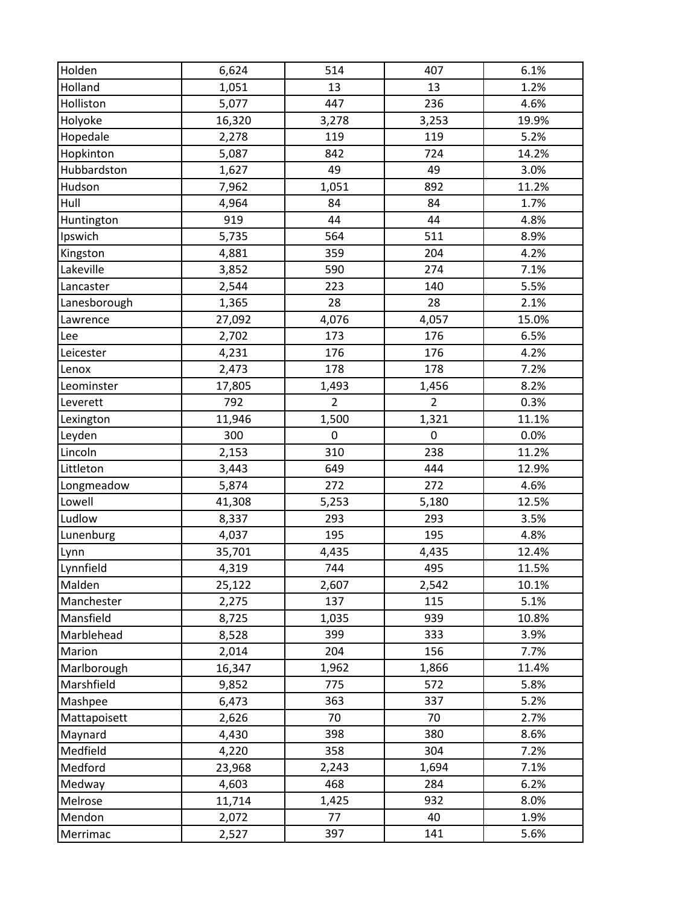| Holden       | 6,624  | 514            | 407            | 6.1%  |
|--------------|--------|----------------|----------------|-------|
| Holland      | 1,051  | 13             | 13             | 1.2%  |
| Holliston    | 5,077  | 447            | 236            | 4.6%  |
| Holyoke      | 16,320 | 3,278          | 3,253          | 19.9% |
| Hopedale     | 2,278  | 119            | 119            | 5.2%  |
| Hopkinton    | 5,087  | 842            | 724            | 14.2% |
| Hubbardston  | 1,627  | 49             | 49             | 3.0%  |
| Hudson       | 7,962  | 1,051          | 892            | 11.2% |
| Hull         | 4,964  | 84             | 84             | 1.7%  |
| Huntington   | 919    | 44             | 44             | 4.8%  |
| Ipswich      | 5,735  | 564            | 511            | 8.9%  |
| Kingston     | 4,881  | 359            | 204            | 4.2%  |
| Lakeville    | 3,852  | 590            | 274            | 7.1%  |
| Lancaster    | 2,544  | 223            | 140            | 5.5%  |
| Lanesborough | 1,365  | 28             | 28             | 2.1%  |
| Lawrence     | 27,092 | 4,076          | 4,057          | 15.0% |
| Lee          | 2,702  | 173            | 176            | 6.5%  |
| Leicester    | 4,231  | 176            | 176            | 4.2%  |
| Lenox        | 2,473  | 178            | 178            | 7.2%  |
| Leominster   | 17,805 | 1,493          | 1,456          | 8.2%  |
| Leverett     | 792    | $\overline{2}$ | $\overline{2}$ | 0.3%  |
| Lexington    | 11,946 | 1,500          | 1,321          | 11.1% |
| Leyden       | 300    | $\overline{0}$ | $\mathbf 0$    | 0.0%  |
| Lincoln      | 2,153  | 310            | 238            | 11.2% |
| Littleton    | 3,443  | 649            | 444            | 12.9% |
| Longmeadow   | 5,874  | 272            | 272            | 4.6%  |
| Lowell       | 41,308 | 5,253          | 5,180          | 12.5% |
| Ludlow       | 8,337  | 293            | 293            | 3.5%  |
| Lunenburg    | 4,037  | 195            | 195            | 4.8%  |
| Lynn         | 35,701 | 4,435          | 4,435          | 12.4% |
| Lynnfield    | 4,319  | 744            | 495            | 11.5% |
| Malden       | 25,122 | 2,607          | 2,542          | 10.1% |
| Manchester   | 2,275  | 137            | 115            | 5.1%  |
| Mansfield    | 8,725  | 1,035          | 939            | 10.8% |
| Marblehead   | 8,528  | 399            | 333            | 3.9%  |
| Marion       | 2,014  | 204            | 156            | 7.7%  |
| Marlborough  | 16,347 | 1,962          | 1,866          | 11.4% |
| Marshfield   | 9,852  | 775            | 572            | 5.8%  |
| Mashpee      | 6,473  | 363            | 337            | 5.2%  |
| Mattapoisett | 2,626  | 70             | 70             | 2.7%  |
| Maynard      | 4,430  | 398            | 380            | 8.6%  |
| Medfield     | 4,220  | 358            | 304            | 7.2%  |
| Medford      | 23,968 | 2,243          | 1,694          | 7.1%  |
| Medway       | 4,603  | 468            | 284            | 6.2%  |
| Melrose      | 11,714 | 1,425          | 932            | 8.0%  |
| Mendon       | 2,072  | 77             | 40             | 1.9%  |
| Merrimac     | 2,527  | 397            | 141            | 5.6%  |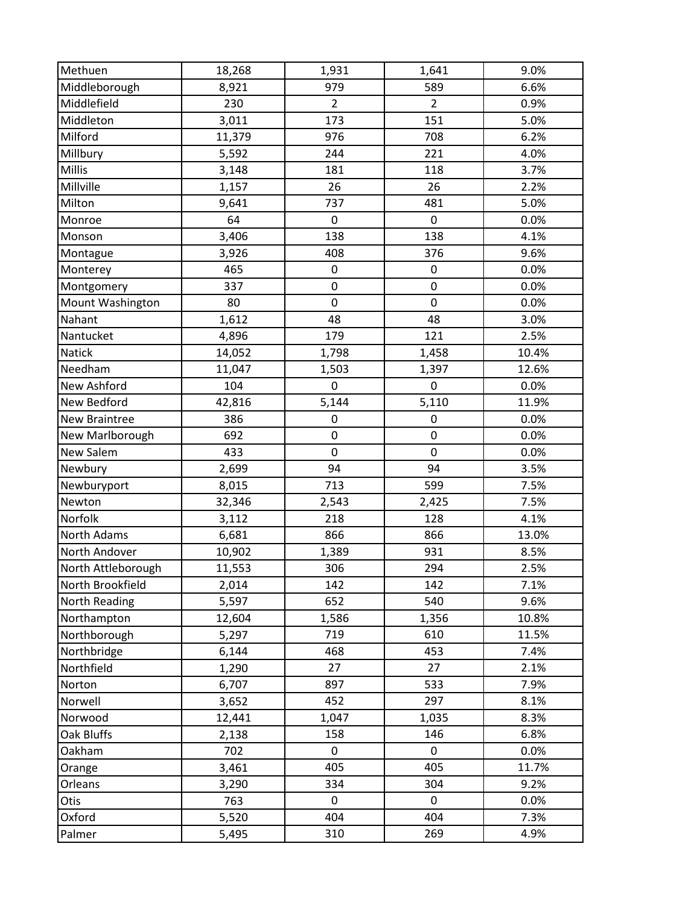| Methuen            | 18,268 | 1,931          | 1,641          | 9.0%  |
|--------------------|--------|----------------|----------------|-------|
| Middleborough      | 8,921  | 979            | 589            | 6.6%  |
| Middlefield        | 230    | $\overline{2}$ | $\overline{2}$ | 0.9%  |
| Middleton          | 3,011  | 173            | 151            | 5.0%  |
| Milford            | 11,379 | 976            | 708            | 6.2%  |
| Millbury           | 5,592  | 244            | 221            | 4.0%  |
| Millis             | 3,148  | 181            | 118            | 3.7%  |
| Millville          | 1,157  | 26             | 26             | 2.2%  |
| Milton             | 9,641  | 737            | 481            | 5.0%  |
| Monroe             | 64     | 0              | 0              | 0.0%  |
| Monson             | 3,406  | 138            | 138            | 4.1%  |
| Montague           | 3,926  | 408            | 376            | 9.6%  |
| Monterey           | 465    | 0              | $\pmb{0}$      | 0.0%  |
| Montgomery         | 337    | $\mathbf 0$    | $\mathbf 0$    | 0.0%  |
| Mount Washington   | 80     | 0              | $\mathbf 0$    | 0.0%  |
| Nahant             | 1,612  | 48             | 48             | 3.0%  |
| Nantucket          | 4,896  | 179            | 121            | 2.5%  |
| Natick             | 14,052 | 1,798          | 1,458          | 10.4% |
| Needham            | 11,047 | 1,503          | 1,397          | 12.6% |
| New Ashford        | 104    | $\mathbf 0$    | $\mathbf 0$    | 0.0%  |
| New Bedford        | 42,816 | 5,144          | 5,110          | 11.9% |
| New Braintree      | 386    | 0              | 0              | 0.0%  |
| New Marlborough    | 692    | 0              | $\mathbf 0$    | 0.0%  |
| New Salem          | 433    | $\mathbf 0$    | $\mathbf 0$    | 0.0%  |
| Newbury            | 2,699  | 94             | 94             | 3.5%  |
| Newburyport        | 8,015  | 713            | 599            | 7.5%  |
| Newton             | 32,346 | 2,543          | 2,425          | 7.5%  |
| Norfolk            | 3,112  | 218            | 128            | 4.1%  |
| North Adams        | 6,681  | 866            | 866            | 13.0% |
| North Andover      | 10,902 | 1,389          | 931            | 8.5%  |
| North Attleborough | 11,553 | 306            | 294            | 2.5%  |
| North Brookfield   | 2,014  | 142            | 142            | 7.1%  |
| North Reading      | 5,597  | 652            | 540            | 9.6%  |
| Northampton        | 12,604 | 1,586          | 1,356          | 10.8% |
| Northborough       | 5,297  | 719            | 610            | 11.5% |
| Northbridge        | 6,144  | 468            | 453            | 7.4%  |
| Northfield         | 1,290  | 27             | 27             | 2.1%  |
| Norton             | 6,707  | 897            | 533            | 7.9%  |
| Norwell            | 3,652  | 452            | 297            | 8.1%  |
| Norwood            | 12,441 | 1,047          | 1,035          | 8.3%  |
| Oak Bluffs         | 2,138  | 158            | 146            | 6.8%  |
| Oakham             | 702    | $\mathbf 0$    | $\mathbf 0$    | 0.0%  |
| Orange             | 3,461  | 405            | 405            | 11.7% |
| Orleans            | 3,290  | 334            | 304            | 9.2%  |
| Otis               | 763    | $\mathbf 0$    | $\mathbf 0$    | 0.0%  |
| Oxford             | 5,520  | 404            | 404            | 7.3%  |
| Palmer             | 5,495  | 310            | 269            | 4.9%  |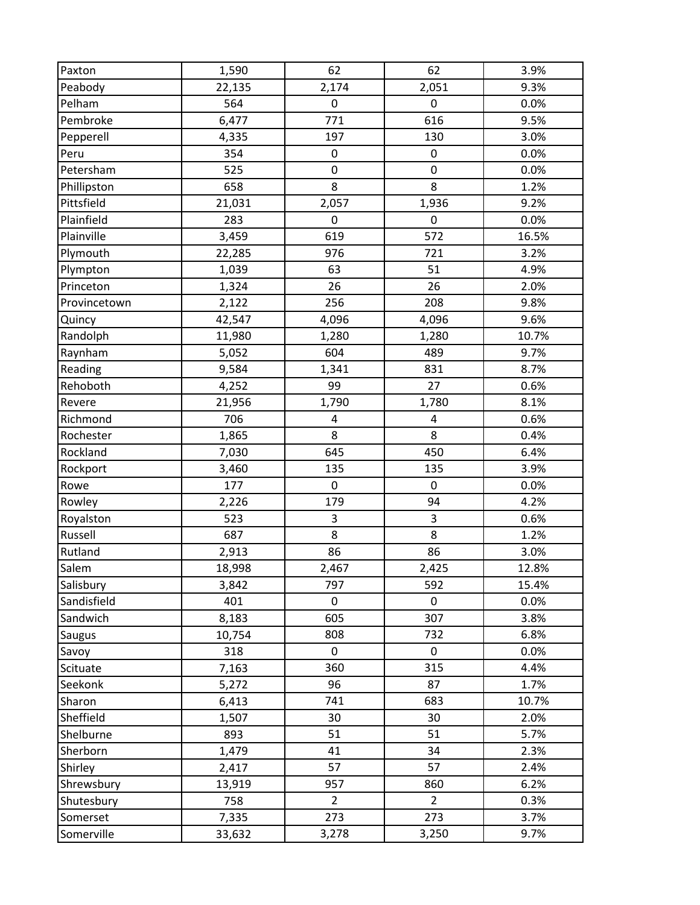| Paxton       | 1,590  | 62             | 62               | 3.9%  |
|--------------|--------|----------------|------------------|-------|
| Peabody      | 22,135 | 2,174          | 2,051            | 9.3%  |
| Pelham       | 564    | $\mathbf 0$    | $\boldsymbol{0}$ | 0.0%  |
| Pembroke     | 6,477  | 771            | 616              | 9.5%  |
| Pepperell    | 4,335  | 197            | 130              | 3.0%  |
| Peru         | 354    | 0              | 0                | 0.0%  |
| Petersham    | 525    | $\mathbf 0$    | $\mathbf 0$      | 0.0%  |
| Phillipston  | 658    | 8              | 8                | 1.2%  |
| Pittsfield   | 21,031 | 2,057          | 1,936            | 9.2%  |
| Plainfield   | 283    | 0              | 0                | 0.0%  |
| Plainville   | 3,459  | 619            | 572              | 16.5% |
| Plymouth     | 22,285 | 976            | 721              | 3.2%  |
| Plympton     | 1,039  | 63             | 51               | 4.9%  |
| Princeton    | 1,324  | 26             | 26               | 2.0%  |
| Provincetown | 2,122  | 256            | 208              | 9.8%  |
| Quincy       | 42,547 | 4,096          | 4,096            | 9.6%  |
| Randolph     | 11,980 | 1,280          | 1,280            | 10.7% |
| Raynham      | 5,052  | 604            | 489              | 9.7%  |
| Reading      | 9,584  | 1,341          | 831              | 8.7%  |
| Rehoboth     | 4,252  | 99             | 27               | 0.6%  |
| Revere       | 21,956 | 1,790          | 1,780            | 8.1%  |
| Richmond     | 706    | 4              | 4                | 0.6%  |
| Rochester    | 1,865  | 8              | 8                | 0.4%  |
| Rockland     | 7,030  | 645            | 450              | 6.4%  |
| Rockport     | 3,460  | 135            | 135              | 3.9%  |
| Rowe         | 177    | $\mathbf 0$    | $\mathbf 0$      | 0.0%  |
| Rowley       | 2,226  | 179            | 94               | 4.2%  |
| Royalston    | 523    | 3              | 3                | 0.6%  |
| Russell      | 687    | 8              | 8                | 1.2%  |
| Rutland      | 2,913  | 86             | 86               | 3.0%  |
| Salem        | 18,998 | 2,467          | 2,425            | 12.8% |
| Salisbury    | 3,842  | 797            | 592              | 15.4% |
| Sandisfield  | 401    | 0              | $\mathbf{0}$     | 0.0%  |
| Sandwich     | 8,183  | 605            | 307              | 3.8%  |
| Saugus       | 10,754 | 808            | 732              | 6.8%  |
| Savoy        | 318    | $\pmb{0}$      | $\pmb{0}$        | 0.0%  |
| Scituate     | 7,163  | 360            | 315              | 4.4%  |
| Seekonk      | 5,272  | 96             | 87               | 1.7%  |
| Sharon       | 6,413  | 741            | 683              | 10.7% |
| Sheffield    | 1,507  | 30             | 30               | 2.0%  |
| Shelburne    | 893    | 51             | 51               | 5.7%  |
| Sherborn     | 1,479  | 41             | 34               | 2.3%  |
| Shirley      | 2,417  | 57             | 57               | 2.4%  |
| Shrewsbury   | 13,919 | 957            | 860              | 6.2%  |
| Shutesbury   | 758    | $\overline{2}$ | $\overline{2}$   | 0.3%  |
| Somerset     | 7,335  | 273            | 273              | 3.7%  |
| Somerville   | 33,632 | 3,278          | 3,250            | 9.7%  |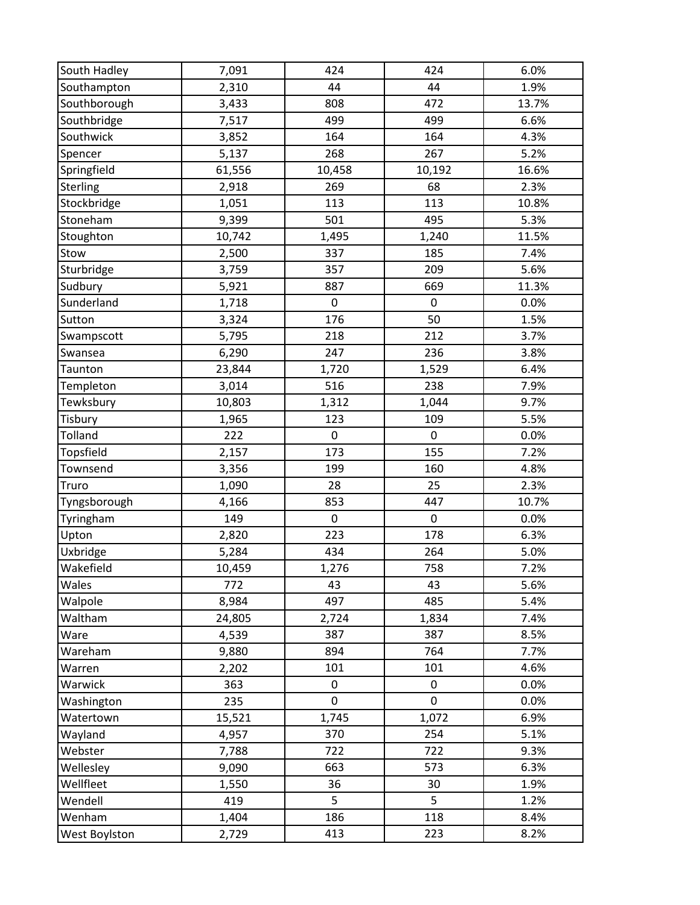| South Hadley  | 7,091  | 424         | 424         | 6.0%  |
|---------------|--------|-------------|-------------|-------|
| Southampton   | 2,310  | 44          | 44          | 1.9%  |
| Southborough  | 3,433  | 808         | 472         | 13.7% |
| Southbridge   | 7,517  | 499         | 499         | 6.6%  |
| Southwick     | 3,852  | 164         | 164         | 4.3%  |
| Spencer       | 5,137  | 268         | 267         | 5.2%  |
| Springfield   | 61,556 | 10,458      | 10,192      | 16.6% |
| Sterling      | 2,918  | 269         | 68          | 2.3%  |
| Stockbridge   | 1,051  | 113         | 113         | 10.8% |
| Stoneham      | 9,399  | 501         | 495         | 5.3%  |
| Stoughton     | 10,742 | 1,495       | 1,240       | 11.5% |
| Stow          | 2,500  | 337         | 185         | 7.4%  |
| Sturbridge    | 3,759  | 357         | 209         | 5.6%  |
| Sudbury       | 5,921  | 887         | 669         | 11.3% |
| Sunderland    | 1,718  | 0           | 0           | 0.0%  |
| Sutton        | 3,324  | 176         | 50          | 1.5%  |
| Swampscott    | 5,795  | 218         | 212         | 3.7%  |
| Swansea       | 6,290  | 247         | 236         | 3.8%  |
| Taunton       | 23,844 | 1,720       | 1,529       | 6.4%  |
| Templeton     | 3,014  | 516         | 238         | 7.9%  |
| Tewksbury     | 10,803 | 1,312       | 1,044       | 9.7%  |
| Tisbury       | 1,965  | 123         | 109         | 5.5%  |
| Tolland       | 222    | $\mathbf 0$ | $\mathbf 0$ | 0.0%  |
| Topsfield     | 2,157  | 173         | 155         | 7.2%  |
| Townsend      | 3,356  | 199         | 160         | 4.8%  |
| Truro         | 1,090  | 28          | 25          | 2.3%  |
| Tyngsborough  | 4,166  | 853         | 447         | 10.7% |
| Tyringham     | 149    | 0           | $\pmb{0}$   | 0.0%  |
| Upton         | 2,820  | 223         | 178         | 6.3%  |
| Uxbridge      | 5,284  | 434         | 264         | 5.0%  |
| Wakefield     | 10,459 | 1,276       | 758         | 7.2%  |
| Wales         | 772    | 43          | 43          | 5.6%  |
| Walpole       | 8,984  | 497         | 485         | 5.4%  |
| Waltham       | 24,805 | 2,724       | 1,834       | 7.4%  |
| Ware          | 4,539  | 387         | 387         | 8.5%  |
| Wareham       | 9,880  | 894         | 764         | 7.7%  |
| Warren        | 2,202  | 101         | 101         | 4.6%  |
| Warwick       | 363    | 0           | $\pmb{0}$   | 0.0%  |
| Washington    | 235    | $\mathbf 0$ | $\mathbf 0$ | 0.0%  |
| Watertown     | 15,521 | 1,745       | 1,072       | 6.9%  |
| Wayland       | 4,957  | 370         | 254         | 5.1%  |
| Webster       | 7,788  | 722         | 722         | 9.3%  |
| Wellesley     | 9,090  | 663         | 573         | 6.3%  |
| Wellfleet     | 1,550  | 36          | 30          | 1.9%  |
| Wendell       | 419    | 5           | 5           | 1.2%  |
| Wenham        | 1,404  | 186         | 118         | 8.4%  |
| West Boylston | 2,729  | 413         | 223         | 8.2%  |